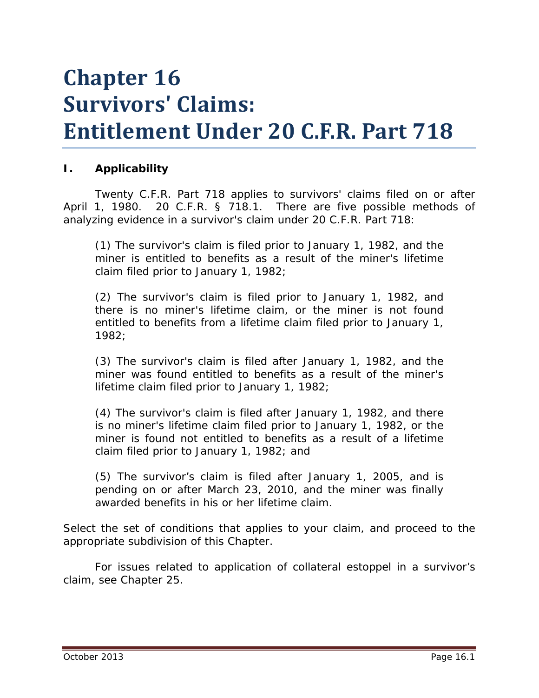# **Chapter 16 Survivors' Claims: Entitlement Under 20 C.F.R. Part 718**

#### **I. Applicability**

Twenty C.F.R. Part 718 applies to survivors' claims filed on or after April 1, 1980. 20 C.F.R. § 718.1. There are five possible methods of analyzing evidence in a survivor's claim under 20 C.F.R. Part 718:

(1) The survivor's claim is filed prior to January 1, 1982, and the miner is entitled to benefits as a result of the miner's lifetime claim filed prior to January 1, 1982;

(2) The survivor's claim is filed prior to January 1, 1982, and there is no miner's lifetime claim, or the miner is not found entitled to benefits from a lifetime claim filed prior to January 1, 1982;

(3) The survivor's claim is filed after January 1, 1982, and the miner was found entitled to benefits as a result of the miner's lifetime claim filed prior to January 1, 1982;

(4) The survivor's claim is filed after January 1, 1982, and there is no miner's lifetime claim filed prior to January 1, 1982, or the miner is found not entitled to benefits as a result of a lifetime claim filed prior to January 1, 1982; and

(5) The survivor's claim is filed after January 1, 2005, and is pending on or after March 23, 2010, and the miner was finally awarded benefits in his or her lifetime claim.

Select the set of conditions that applies to your claim, and proceed to the appropriate subdivision of this Chapter.

For issues related to application of collateral estoppel in a survivor's claim, *see* Chapter 25.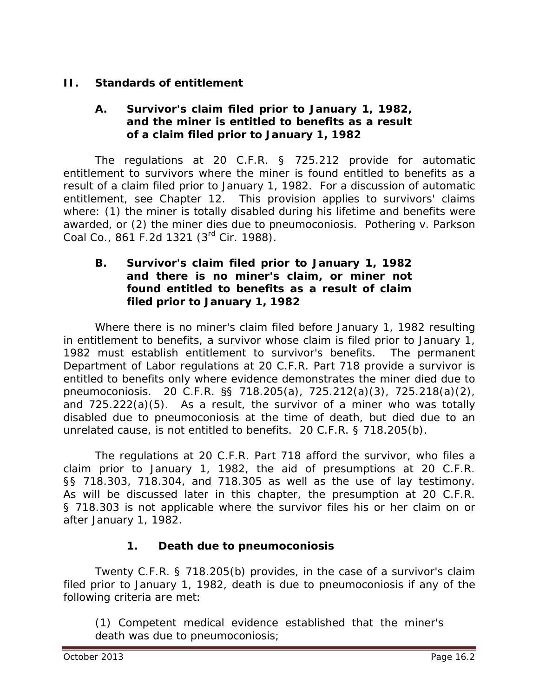#### **II. Standards of entitlement**

#### **A. Survivor's claim filed prior to January 1, 1982, and the miner is entitled to benefits as a result of a claim filed prior to January 1, 1982**

The regulations at 20 C.F.R. § 725.212 provide for automatic entitlement to survivors where the miner is found entitled to benefits as a result of a claim filed prior to January 1, 1982. For a discussion of automatic entitlement, *see* Chapter 12. This provision applies to survivors' claims where: (1) the miner is totally disabled during his lifetime and benefits were awarded, or (2) the miner dies due to pneumoconiosis. *Pothering v. Parkson Coal Co.*, 861 F.2d 1321 (3rd Cir. 1988).

#### **B. Survivor's claim filed prior to January 1, 1982 and there is no miner's claim, or miner not found entitled to benefits as a result of claim filed prior to January 1, 1982**

Where there is no miner's claim filed before January 1, 1982 resulting in entitlement to benefits, a survivor whose claim is filed prior to January 1, 1982 must establish entitlement to survivor's benefits. The permanent Department of Labor regulations at 20 C.F.R. Part 718 provide a survivor is entitled to benefits only where evidence demonstrates the miner died due to pneumoconiosis. 20 C.F.R. §§ 718.205(a), 725.212(a)(3), 725.218(a)(2), and 725.222(a)(5). As a result, the survivor of a miner who was totally disabled due to pneumoconiosis at the time of death, but died due to an unrelated cause, is not entitled to benefits. 20 C.F.R. § 718.205(b).

The regulations at 20 C.F.R. Part 718 afford the survivor, who files a claim prior to January 1, 1982, the aid of presumptions at 20 C.F.R. §§ 718.303, 718.304, and 718.305 as well as the use of lay testimony. As will be discussed later in this chapter, the presumption at 20 C.F.R. § 718.303 is not applicable where the survivor files his or her claim on or after January 1, 1982.

#### **1. Death due to pneumoconiosis**

Twenty C.F.R. § 718.205(b) provides, in the case of a survivor's claim filed prior to January 1, 1982, death is due to pneumoconiosis if any of the following criteria are met:

(1) Competent medical evidence established that the miner's death was due to pneumoconiosis;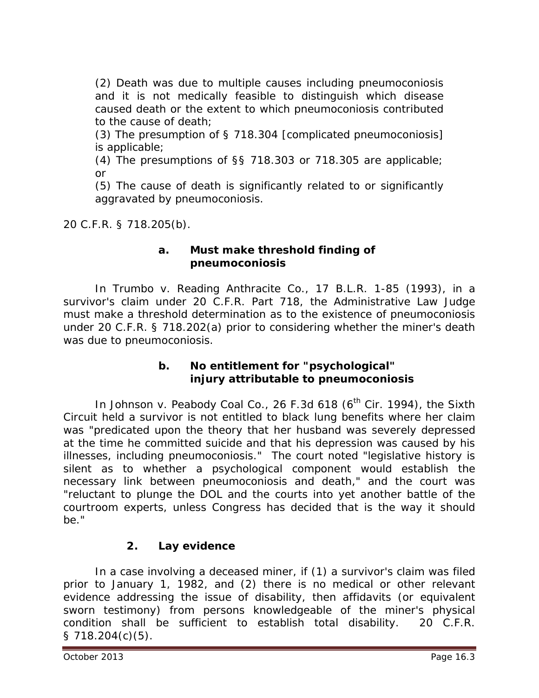(2) Death was due to multiple causes including pneumoconiosis and it is not medically feasible to distinguish which disease caused death or the extent to which pneumoconiosis contributed to the cause of death;

(3) The presumption of § 718.304 [complicated pneumoconiosis] is applicable;

(4) The presumptions of §§ 718.303 or 718.305 are applicable; or

(5) The cause of death is significantly related to or significantly aggravated by pneumoconiosis.

20 C.F.R. § 718.205(b).

#### **a. Must make threshold finding of pneumoconiosis**

In *Trumbo v. Reading Anthracite Co.*, 17 B.L.R. 1-85 (1993), in a survivor's claim under 20 C.F.R. Part 718, the Administrative Law Judge must make a threshold determination as to the existence of pneumoconiosis under 20 C.F.R. § 718.202(a) prior to considering whether the miner's death was due to pneumoconiosis.

#### **b. No entitlement for "psychological" injury attributable to pneumoconiosis**

In *Johnson v. Peabody Coal Co.*, 26 F.3d 618 (6<sup>th</sup> Cir. 1994), the Sixth Circuit held a survivor is not entitled to black lung benefits where her claim was "predicated upon the theory that her husband was severely depressed at the time he committed suicide and that his depression was caused by his illnesses, including pneumoconiosis." The court noted "legislative history is silent as to whether a psychological component would establish the necessary link between pneumoconiosis and death," and the court was "reluctant to plunge the DOL and the courts into yet another battle of the courtroom experts, unless Congress has decided that is the way it should be."

## **2. Lay evidence**

In a case involving a deceased miner, if (1) a survivor's claim was filed prior to January 1, 1982, and (2) there is no medical or other relevant evidence addressing the issue of disability, then affidavits (or equivalent sworn testimony) from persons knowledgeable of the miner's physical condition shall be sufficient to establish total disability. 20 C.F.R.  $\S$  718.204(c)(5).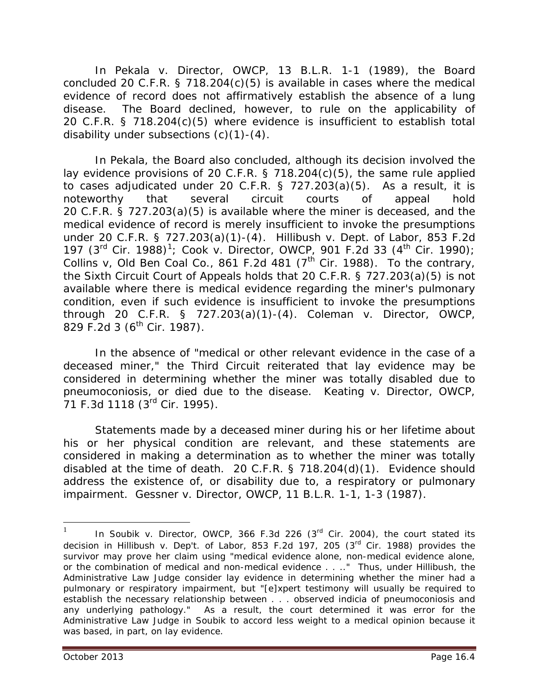In *Pekala v. Director, OWCP*, 13 B.L.R. 1-1 (1989), the Board concluded 20 C.F.R. § 718.204(c)(5) is available in cases where the medical evidence of record does not *affirmatively establish the absence* of a lung disease. The Board declined, however, to rule on the applicability of 20 C.F.R. § 718.204(c)(5) where evidence is *insufficient* to establish total disability under subsections (c)(1)-(4).

In *Pekala,* the Board also concluded, although its decision involved the lay evidence provisions of 20 C.F.R. § 718.204(c)(5), the same rule applied to cases adjudicated under 20 C.F.R. § 727.203(a)(5). As a result, it is noteworthy that several circuit courts of appeal hold 20 C.F.R. § 727.203(a)(5) is available where the miner is deceased, and the medical evidence of record is merely *insufficient to invoke* the presumptions under 20 C.F.R. § 727.203(a)(1)-(4). *Hillibush v. Dept. of Labor*, 853 F.2d [1](#page-3-0)97 (3<sup>rd</sup> Cir. 1988)<sup>1</sup>; *Cook v. Director, OWCP*, 901 F.2d 33 (4<sup>th</sup> Cir. 1990); *Collins v, Old Ben Coal Co.*, 861 F.2d 481  $(7<sup>th</sup>$  Cir. 1988). To the contrary, the Sixth Circuit Court of Appeals holds that 20 C.F.R. § 727.203(a)(5) is not available where there is medical evidence regarding the miner's pulmonary condition, even if such evidence is insufficient to invoke the presumptions through 20 C.F.R. § 727.203(a)(1)-(4). *Coleman v. Director, OWCP*, 829 F.2d 3 ( $6^{th}$  Cir. 1987).

In the absence of "medical or other relevant evidence in the case of a deceased miner," the Third Circuit reiterated that lay evidence may be considered in determining whether the miner was totally disabled due to pneumoconiosis, or died due to the disease. *Keating v. Director, OWCP*, 71 F.3d 1118 (3rd Cir. 1995).

Statements made by a deceased miner during his or her lifetime about his or her physical condition are relevant, and these statements are considered in making a determination as to whether the miner was totally disabled at the time of death. 20 C.F.R. § 718.204(d)(1). Evidence should address the existence of, or disability due to, a respiratory or pulmonary impairment. *Gessner v. Director, OWCP*, 11 B.L.R. 1-1, 1-3 (1987).

 $\overline{a}$ 

<span id="page-3-0"></span>In *Soubik v. Director, OWCP*, 366 F.3d 226 (3<sup>rd</sup> Cir. 2004), the court stated its decision in *Hillibush v. Dep't. of Labor*, 853 F.2d 197, 205 (3rd Cir. 1988) provides the survivor may prove her claim using "medical evidence alone, non-medical evidence alone, or the combination of medical and non-medical evidence . . .." Thus, under *Hillibush*, the Administrative Law Judge consider lay evidence in determining whether the miner had a pulmonary or respiratory impairment, but "[e]xpert testimony will usually be required to establish the necessary relationship between . . . observed indicia of pneumoconiosis and any underlying pathology." As a result, the court determined it was error for the Administrative Law Judge in *Soubik* to accord less weight to a medical opinion because it was based, in part, on lay evidence.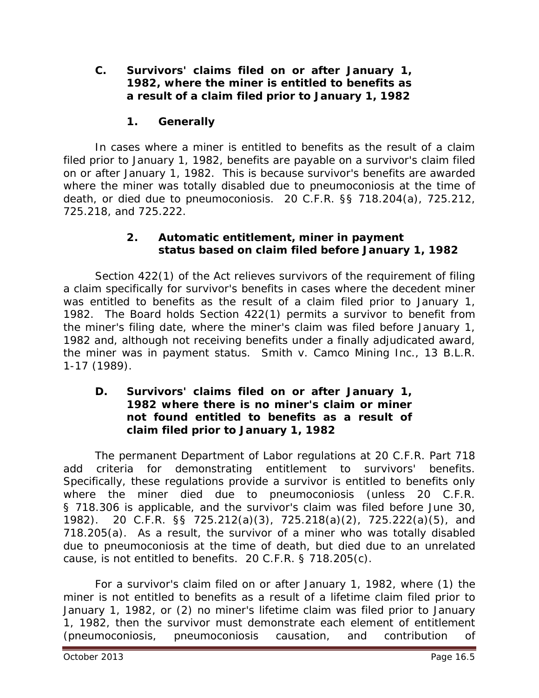#### **C. Survivors' claims filed on or after January 1, 1982, where the miner is entitled to benefits as a result of a claim filed prior to January 1, 1982**

#### **1. Generally**

In cases where a miner is entitled to benefits as the result of a claim filed prior to January 1, 1982, benefits are payable on a survivor's claim filed on or after January 1, 1982. This is because survivor's benefits are awarded where the miner was totally disabled due to pneumoconiosis at the time of death, or died due to pneumoconiosis. 20 C.F.R. §§ 718.204(a), 725.212, 725.218, and 725.222.

#### **2. Automatic entitlement, miner in payment status based on claim filed before January 1, 1982**

Section 422(1) of the Act relieves survivors of the requirement of filing a claim specifically for survivor's benefits in cases where the decedent miner was entitled to benefits as the result of a claim filed prior to January 1, 1982. The Board holds Section 422(1) permits a survivor to benefit from the miner's filing date, where the miner's claim was filed before January 1, 1982 and, although not receiving benefits under a finally adjudicated award, the miner was in payment status. *Smith v. Camco Mining Inc.*, 13 B.L.R. 1-17 (1989).

#### **D. Survivors' claims filed on or after January 1, 1982 where there is no miner's claim or miner not found entitled to benefits as a result of claim filed prior to January 1, 1982**

The permanent Department of Labor regulations at 20 C.F.R. Part 718 add criteria for demonstrating entitlement to survivors' benefits. Specifically, these regulations provide a survivor is entitled to benefits only where the miner *died due to pneumoconiosis* (unless 20 C.F.R. § 718.306 is applicable, and the survivor's claim was filed before June 30, 1982). 20 C.F.R. §§ 725.212(a)(3), 725.218(a)(2), 725.222(a)(5), and 718.205(a). As a result, the survivor of a miner who was totally disabled due to pneumoconiosis at the time of death, but died due to an unrelated cause, is not entitled to benefits. 20 C.F.R. § 718.205(c).

For a survivor's claim filed on or after January 1, 1982, where (1) the miner is not entitled to benefits as a result of a lifetime claim filed prior to January 1, 1982, or (2) no miner's lifetime claim was filed prior to January 1, 1982, then the survivor must demonstrate each element of entitlement (pneumoconiosis, pneumoconiosis causation, and contribution of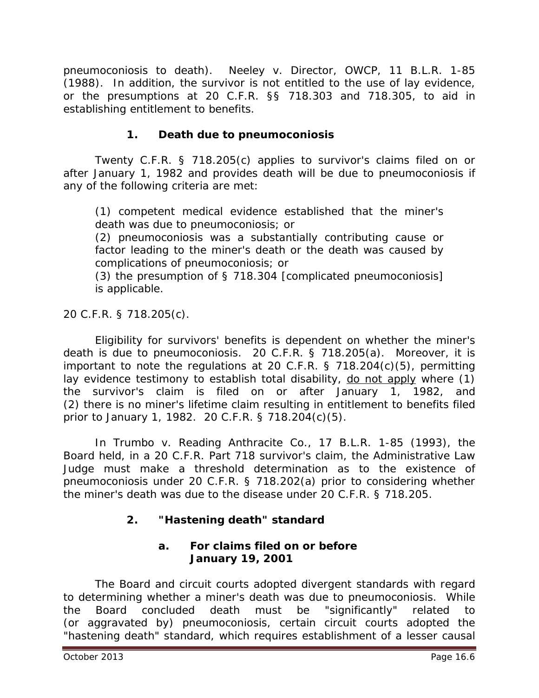pneumoconiosis to death). *Neeley v. Director, OWCP*, 11 B.L.R. 1-85 (1988). In addition, the survivor is not entitled to the use of lay evidence, or the presumptions at 20 C.F.R. §§ 718.303 and 718.305, to aid in establishing entitlement to benefits.

## **1. Death due to pneumoconiosis**

Twenty C.F.R. § 718.205(c) applies to survivor's claims filed on or after January 1, 1982 and provides death will be due to pneumoconiosis if any of the following criteria are met:

(1) competent medical evidence established that the miner's death was due to pneumoconiosis; or

(2) pneumoconiosis was a substantially contributing cause or factor leading to the miner's death or the death was caused by complications of pneumoconiosis; or

(3) the presumption of § 718.304 [complicated pneumoconiosis] is applicable.

20 C.F.R. § 718.205(c).

Eligibility for survivors' benefits is dependent on whether the miner's death is due to pneumoconiosis. 20 C.F.R. § 718.205(a). Moreover, it is important to note the regulations at 20 C.F.R. § 718.204(c)(5), permitting lay evidence testimony to establish total disability, do not apply where (1) the survivor's claim is filed on or after January 1, 1982, and (2) there is no miner's lifetime claim resulting in entitlement to benefits filed prior to January 1, 1982. 20 C.F.R. § 718.204(c)(5).

In *Trumbo v. Reading Anthracite Co.*, 17 B.L.R. 1-85 (1993), the Board held, in a 20 C.F.R. Part 718 survivor's claim, the Administrative Law Judge must make a threshold determination as to the existence of pneumoconiosis under 20 C.F.R. § 718.202(a) prior to considering whether the miner's death was due to the disease under 20 C.F.R. § 718.205.

## **2. "Hastening death" standard**

#### **a. For claims filed on or before January 19, 2001**

The Board and circuit courts adopted divergent standards with regard to determining whether a miner's death was due to pneumoconiosis. While the Board concluded death must be "significantly" related to (or aggravated by) pneumoconiosis, certain circuit courts adopted the "hastening death" standard, which requires establishment of a lesser causal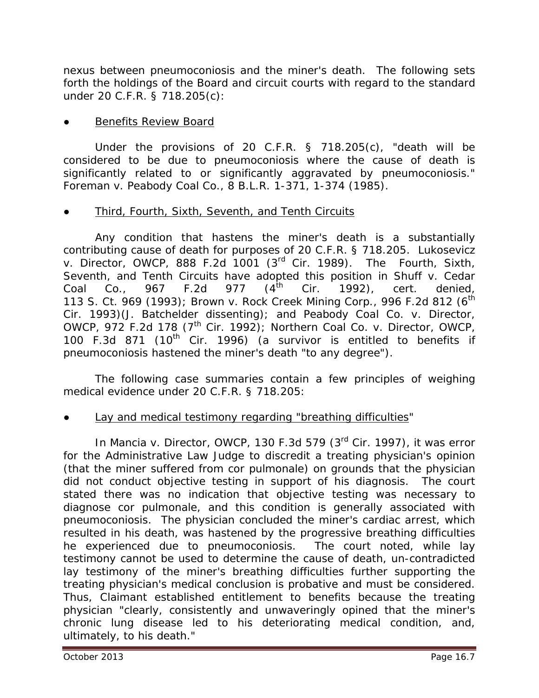nexus between pneumoconiosis and the miner's death. The following sets forth the holdings of the Board and circuit courts with regard to the standard under 20 C.F.R. § 718.205(c):

#### Benefits Review Board

Under the provisions of 20 C.F.R. § 718.205(c), "death will be considered to be due to pneumoconiosis where the cause of death is significantly related to or significantly aggravated by pneumoconiosis." *Foreman v. Peabody Coal Co.*, 8 B.L.R. 1-371, 1-374 (1985).

## Third, Fourth, Sixth, Seventh, and Tenth Circuits

Any condition that *hastens* the miner's death is a substantially contributing cause of death for purposes of 20 C.F.R. § 718.205. *Lukosevicz v. Director, OWCP*, 888 F.2d 1001 (3rd Cir. 1989). The Fourth, Sixth, Seventh, and Tenth Circuits have adopted this position in *Shuff v. Cedar Coal Co.*, 967 F.2d 977 (4th Cir. 1992), *cert. denied*, 113 S. Ct. 969 (1993); *Brown v. Rock Creek Mining Corp.*, 996 F.2d 812 (6th Cir. 1993)(J. Batchelder dissenting*);* and *Peabody Coal Co. v. Director, OWCP*, 972 F.2d 178 (7<sup>th</sup> Cir. 1992); *Northern Coal Co. v. Director, OWCP*, 100 F.3d 871 (10<sup>th</sup> Cir. 1996) (a survivor is entitled to benefits if pneumoconiosis hastened the miner's death "to any degree").

The following case summaries contain a few principles of weighing medical evidence under 20 C.F.R. § 718.205:

## Lay and medical testimony regarding "breathing difficulties"

In *Mancia v. Director, OWCP*, 130 F.3d 579 (3rd Cir. 1997), it was error for the Administrative Law Judge to discredit a treating physician's opinion (that the miner suffered from *cor pulmonale*) on grounds that the physician did not conduct objective testing in support of his diagnosis. The court stated there was no indication that objective testing was necessary to diagnose *cor pulmonale*, and this condition is generally associated with pneumoconiosis. The physician concluded the miner's cardiac arrest, which resulted in his death, was hastened by the progressive breathing difficulties he experienced due to pneumoconiosis. The court noted, while lay testimony cannot be used to determine the cause of death, un-contradicted lay testimony of the miner's breathing difficulties further supporting the treating physician's medical conclusion is probative and must be considered. Thus, Claimant established entitlement to benefits because the treating physician "clearly, consistently and unwaveringly opined that the miner's chronic lung disease led to his deteriorating medical condition, and, ultimately, to his death."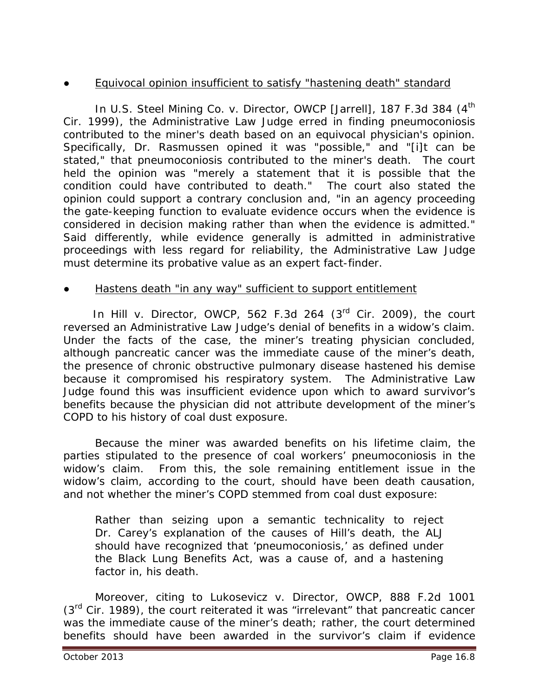## Equivocal opinion insufficient to satisfy "hastening death" standard

In *U.S. Steel Mining Co. v. Director, OWCP [Jarrell]*, 187 F.3d 384 (4<sup>th</sup>) Cir. 1999), the Administrative Law Judge erred in finding pneumoconiosis contributed to the miner's death based on an equivocal physician's opinion. Specifically, Dr. Rasmussen opined it was "possible," and "[i]t can be stated," that pneumoconiosis contributed to the miner's death. The court held the opinion was "merely a statement that it is possible that the condition could have contributed to death." The court also stated the opinion could support a contrary conclusion and, "in an agency proceeding the gate-keeping function to evaluate evidence occurs when the evidence is considered in decision making rather than when the evidence is admitted." Said differently, while evidence generally is admitted in administrative proceedings with less regard for reliability, the Administrative Law Judge must determine its probative value as an expert fact-finder.

#### Hastens death "in any way" sufficient to support entitlement

 In *Hill v. Director, OWCP*, 562 F.3d 264 (3rd Cir. 2009), the court reversed an Administrative Law Judge's denial of benefits in a widow's claim. Under the facts of the case, the miner's treating physician concluded, although pancreatic cancer was the immediate cause of the miner's death, the presence of chronic obstructive pulmonary disease hastened his demise because it compromised his respiratory system. The Administrative Law Judge found this was insufficient evidence upon which to award survivor's benefits because the physician did not attribute development of the miner's COPD to his history of coal dust exposure.

Because the miner was awarded benefits on his lifetime claim, the parties stipulated to the presence of coal workers' pneumoconiosis in the widow's claim. From this, the sole remaining entitlement issue in the widow's claim, according to the court, *should have been* death causation, and not whether the miner's COPD stemmed from coal dust exposure:

Rather than seizing upon a semantic technicality to reject Dr. Carey's explanation of the causes of Hill's death, the ALJ should have recognized that 'pneumoconiosis,' as defined under the Black Lung Benefits Act, was a cause of, and a hastening factor in, his death.

Moreover, citing to *Lukosevicz v. Director, OWCP*, 888 F.2d 1001 (3<sup>rd</sup> Cir. 1989), the court reiterated it was "irrelevant" that pancreatic cancer was the immediate cause of the miner's death; rather, the court determined benefits should have been awarded in the survivor's claim if evidence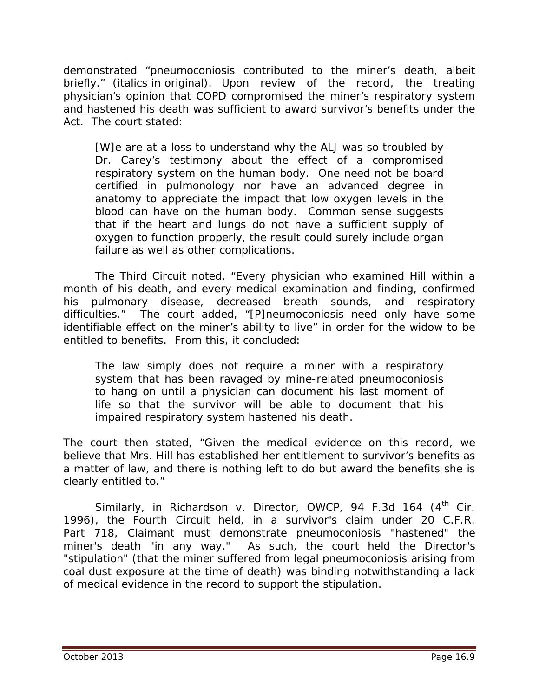demonstrated "pneumoconiosis contributed to the miner's death, *albeit briefly*." (italics in original). Upon review of the record, the treating physician's opinion that COPD compromised the miner's respiratory system and hastened his death was sufficient to award survivor's benefits under the Act. The court stated:

[W]e are at a loss to understand why the ALJ was so troubled by Dr. Carey's testimony about the effect of a compromised respiratory system on the human body. One need not be board certified in pulmonology nor have an advanced degree in anatomy to appreciate the impact that low oxygen levels in the blood can have on the human body. Common sense suggests that if the heart and lungs do not have a sufficient supply of oxygen to function properly, the result could surely include organ failure as well as other complications.

The Third Circuit noted, "Every physician who examined Hill within a month of his death, and every medical examination and finding, confirmed his pulmonary disease, decreased breath sounds, and respiratory difficulties." The court added, "[P]neumoconiosis need only have some identifiable effect on the miner's ability to live" in order for the widow to be entitled to benefits. From this, it concluded:

The law simply does not require a miner with a respiratory system that has been ravaged by mine-related pneumoconiosis to hang on until a physician can document his last moment of life so that the survivor will be able to document that his impaired respiratory system hastened his death.

The court then stated, "Given the medical evidence on this record, we believe that Mrs. Hill has established her entitlement to survivor's benefits as a matter of law, and there is nothing left to do but award the benefits she is clearly entitled to."

Similarly, in *Richardson v. Director, OWCP*, 94 F.3d 164 (4<sup>th</sup> Cir. 1996), the Fourth Circuit held, in a survivor's claim under 20 C.F.R. Part 718, Claimant must demonstrate pneumoconiosis "hastened" the miner's death "in any way." As such, the court held the Director's "stipulation" (that the miner suffered from legal pneumoconiosis arising from coal dust exposure at the time of death) was binding notwithstanding a lack of medical evidence in the record to support the stipulation.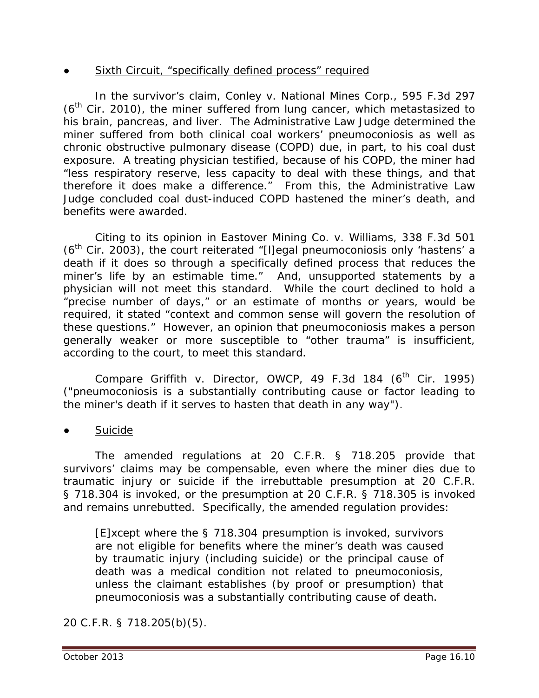#### Sixth Circuit, "specifically defined process" required

In the survivor's claim, *Conley v. National Mines Corp.*, 595 F.3d 297 (6<sup>th</sup> Cir. 2010), the miner suffered from lung cancer, which metastasized to his brain, pancreas, and liver. The Administrative Law Judge determined the miner suffered from both clinical coal workers' pneumoconiosis as well as chronic obstructive pulmonary disease (COPD) due, in part, to his coal dust exposure. A treating physician testified, because of his COPD, the miner had "less respiratory reserve, less capacity to deal with these things, and that therefore it does make a difference." From this, the Administrative Law Judge concluded coal dust-induced COPD hastened the miner's death, and benefits were awarded.

Citing to its opinion in *Eastover Mining Co. v. Williams*, 338 F.3d 501  $(6<sup>th</sup>$  Cir. 2003), the court reiterated "[I]egal pneumoconiosis only 'hastens' a death if it does so through a specifically defined process that reduces the miner's life by an estimable time." And, unsupported statements by a physician will not meet this standard. While the court declined to hold a "precise number of days," or an estimate of months or years, would be required, it stated "context and common sense will govern the resolution of these questions." However, an opinion that pneumoconiosis makes a person generally weaker or more susceptible to "other trauma" is insufficient, according to the court, to meet this standard.

*Compare Griffith v. Director, OWCP*, 49 F.3d 184 (6<sup>th</sup> Cir. 1995) ("pneumoconiosis is a substantially contributing cause or factor leading to the miner's death if it serves to hasten that death in any way").

**Suicide** 

The amended regulations at 20 C.F.R. § 718.205 provide that survivors' claims may be compensable, even where the miner dies due to traumatic injury or suicide if the irrebuttable presumption at 20 C.F.R. § 718.304 is invoked, or the presumption at 20 C.F.R. § 718.305 is invoked and remains unrebutted. Specifically, the amended regulation provides:

[E]xcept where the § 718.304 presumption is invoked, survivors are not eligible for benefits where the miner's death was caused by traumatic injury (including suicide) or the principal cause of death was a medical condition not related to pneumoconiosis, unless the claimant establishes (by proof or presumption) that pneumoconiosis was a substantially contributing cause of death.

#### 20 C.F.R. § 718.205(b)(5).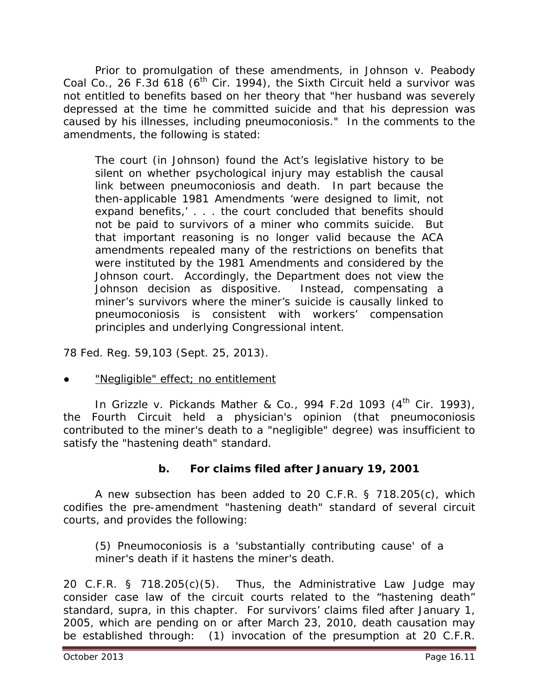Prior to promulgation of these amendments, in *Johnson v. Peabody Coal Co.*, 26 F.3d 618 (6<sup>th</sup> Cir. 1994), the Sixth Circuit held a survivor was not entitled to benefits based on her theory that "her husband was severely depressed at the time he committed suicide and that his depression was caused by his illnesses, including pneumoconiosis." In the comments to the amendments, the following is stated:

The court (in *Johnson*) found the Act's legislative history to be silent on whether psychological injury may establish the causal link between pneumoconiosis and death. In part because the then-applicable 1981 Amendments 'were designed to limit, not expand benefits,' . . . the court concluded that benefits should not be paid to survivors of a miner who commits suicide. But that important reasoning is no longer valid because the ACA amendments repealed many of the restrictions on benefits that were instituted by the 1981 Amendments and considered by the *Johnson* court. Accordingly, the Department does not view the *Johnson* decision as dispositive. Instead, compensating a miner's survivors where the miner's suicide is causally linked to pneumoconiosis is consistent with workers' compensation principles and underlying Congressional intent.

78 Fed. Reg. 59,103 (Sept. 25, 2013).

● *"*Negligible" effect; no entitlement

In *Grizzle v. Pickands Mather & Co.*, 994 F.2d 1093 (4<sup>th</sup> Cir. 1993), the Fourth Circuit held a physician's opinion (that pneumoconiosis contributed to the miner's death to a "negligible" degree) was insufficient to satisfy the "hastening death" standard.

## **b. For claims filed after January 19, 2001**

A new subsection has been added to 20 C.F.R. § 718.205(c), which codifies the pre-amendment "hastening death" standard of several circuit courts, and provides the following:

(5) Pneumoconiosis is a 'substantially contributing cause' of a miner's death if it hastens the miner's death.

20 C.F.R. § 718.205(c)(5). Thus, the Administrative Law Judge may consider case law of the circuit courts related to the "hastening death" standard, *supra*, in this chapter. For survivors' claims filed after January 1, 2005, which are pending on or after March 23, 2010, death causation may be established through: (1) invocation of the presumption at 20 C.F.R.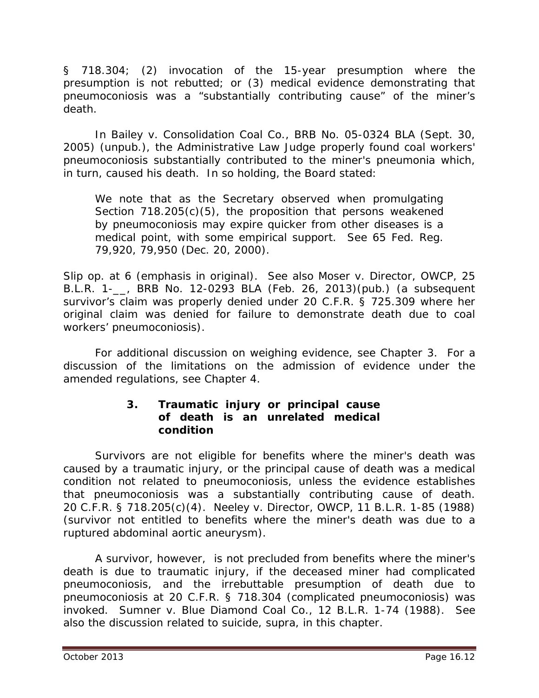§ 718.304; (2) invocation of the 15-year presumption where the presumption is not rebutted; or (3) medical evidence demonstrating that pneumoconiosis was a "substantially contributing cause" of the miner's death.

In *Bailey v. Consolidation Coal Co.*, BRB No. 05-0324 BLA (Sept. 30, 2005) (unpub.), the Administrative Law Judge properly found coal workers' pneumoconiosis substantially contributed to the miner's pneumonia which, in turn, caused his death. In so holding, the Board stated:

We note that as the Secretary observed when promulgating Section 718.205(c)(5), the proposition that persons weakened by pneumoconiosis may expire quicker from other diseases *is* a medical point, with some empirical support. *See* 65 Fed. Reg. 79,920, 79,950 (Dec. 20, 2000).

Slip op. at 6 (emphasis in original). *See also Moser v. Director, OWCP,* 25 B.L.R. 1-\_\_, BRB No. 12-0293 BLA (Feb. 26, 2013)(pub.) (a subsequent survivor's claim was properly denied under 20 C.F.R. § 725.309 where her original claim was denied for failure to demonstrate death due to coal workers' pneumoconiosis)*.*

For additional discussion on weighing evidence, *see* Chapter 3. For a discussion of the limitations on the admission of evidence under the amended regulations, *see* Chapter 4.

#### **3. Traumatic injury or principal cause of death is an unrelated medical condition**

Survivors are not eligible for benefits where the miner's death was caused by a traumatic injury, or the principal cause of death was a medical condition not related to pneumoconiosis, unless the evidence establishes that pneumoconiosis was a substantially contributing cause of death. 20 C.F.R. § 718.205(c)(4). *Neeley v. Director, OWCP*, 11 B.L.R. 1-85 (1988) (survivor not entitled to benefits where the miner's death was due to a ruptured abdominal aortic aneurysm).

A survivor, however, is not precluded from benefits where the miner's death is due to traumatic injury, if the deceased miner had complicated pneumoconiosis, and the irrebuttable presumption of death due to pneumoconiosis at 20 C.F.R. § 718.304 (complicated pneumoconiosis) was invoked. *Sumner v. Blue Diamond Coal Co.*, 12 B.L.R. 1-74 (1988). *See also* the discussion related to suicide, *supra*, in this chapter.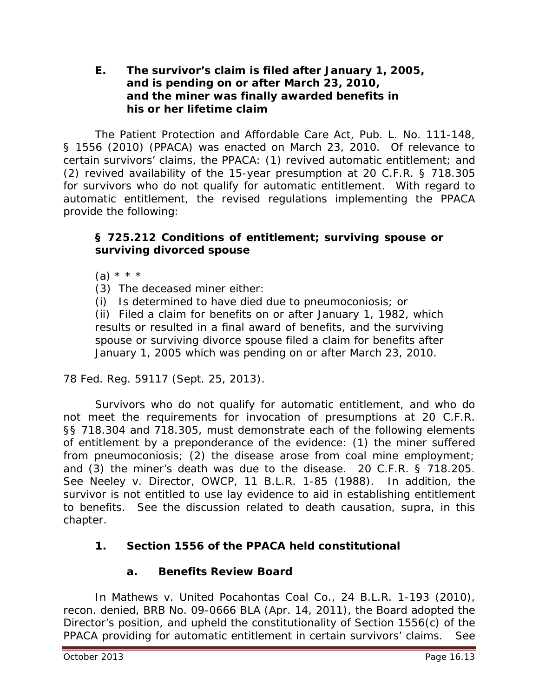#### **E. The survivor's claim is filed after January 1, 2005, and is pending on or after March 23, 2010, and the miner was finally awarded benefits in his or her lifetime claim**

The Patient Protection and Affordable Care Act*,* Pub. L. No. 111-148, § 1556 (2010) (PPACA) was enacted on March 23, 2010. Of relevance to certain survivors' claims, the PPACA: (1) revived automatic entitlement; and (2) revived availability of the 15-year presumption at 20 C.F.R. § 718.305 for survivors who do not qualify for automatic entitlement. With regard to automatic entitlement, the revised regulations implementing the PPACA provide the following:

#### **§ 725.212 Conditions of entitlement; surviving spouse or surviving divorced spouse**

- (a) \* \* \*
- (3) The deceased miner either:
- (i) Is determined to have died due to pneumoconiosis; or

(ii) Filed a claim for benefits on or after January 1, 1982, which results or resulted in a final award of benefits, and the surviving spouse or surviving divorce spouse filed a claim for benefits after January 1, 2005 which was pending on or after March 23, 2010.

78 Fed. Reg. 59117 (Sept. 25, 2013).

Survivors who do not qualify for automatic entitlement, and who do not meet the requirements for invocation of presumptions at 20 C.F.R. §§ 718.304 and 718.305, must demonstrate each of the following elements of entitlement by a preponderance of the evidence: (1) the miner suffered from pneumoconiosis; (2) the disease arose from coal mine employment; and (3) the miner's death was due to the disease. 20 C.F.R. § 718.205. *See Neeley v. Director, OWCP*, 11 B.L.R. 1-85 (1988). In addition, the survivor is not entitled to use lay evidence to aid in establishing entitlement to benefits. *See* the discussion related to death causation, *supra*, in this chapter.

## **1. Section 1556 of the PPACA held constitutional**

## **a. Benefits Review Board**

In *Mathews v. United Pocahontas Coal Co.*, 24 B.L.R. 1-193 (2010), *recon. denied,* BRB No. 09-0666 BLA (Apr. 14, 2011), the Board adopted the Director's position, and upheld the constitutionality of Section 1556(c) of the PPACA providing for automatic entitlement in certain survivors' claims. *See*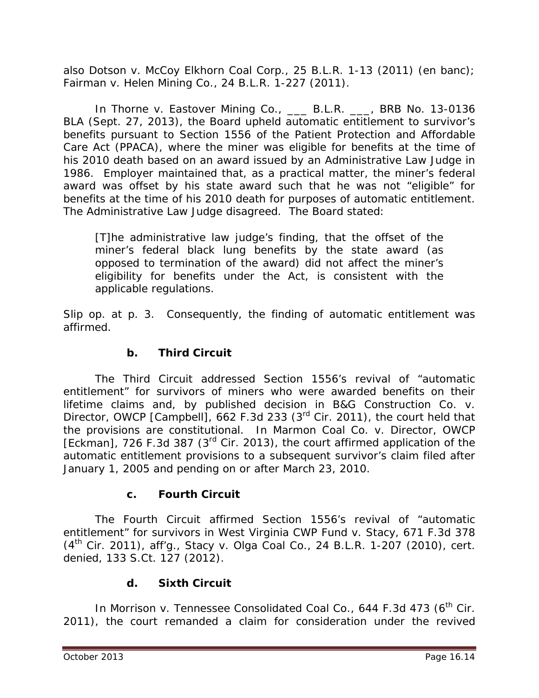*also Dotson v. McCoy Elkhorn Coal Corp.*, 25 B.L.R. 1-13 (2011) (en banc); *Fairman v. Helen Mining Co.*, 24 B.L.R. 1-227 (2011).

In *Thorne v. Eastover Mining Co.*, \_\_\_ B.L.R. \_\_\_, BRB No. 13-0136 BLA (Sept. 27, 2013), the Board upheld automatic entitlement to survivor's benefits pursuant to Section 1556 of the Patient Protection and Affordable Care Act (PPACA), where the miner was eligible for benefits at the time of his 2010 death based on an award issued by an Administrative Law Judge in 1986. Employer maintained that, as a practical matter, the miner's federal award was offset by his state award such that he was not "eligible" for benefits at the time of his 2010 death for purposes of automatic entitlement. The Administrative Law Judge disagreed. The Board stated:

[T]he administrative law judge's finding, that the offset of the miner's federal black lung benefits by the state award (as opposed to termination of the award) did not affect the miner's eligibility for benefits under the Act, is consistent with the applicable regulations.

*Slip op.* at p. 3. Consequently, the finding of automatic entitlement was affirmed.

#### **b. Third Circuit**

The Third Circuit addressed Section 1556's revival of "automatic entitlement" for survivors of miners who were awarded benefits on their lifetime claims and, by published decision in *B&G Construction Co. v. Director, OWCP [Campbell]*, 662 F.3d 233 (3rd Cir. 2011), the court held that the provisions are constitutional. In *Marmon Coal Co. v. Director, OWCP [Eckman]*, 726 F.3d 387 (3rd Cir. 2013), the court affirmed application of the automatic entitlement provisions to a subsequent survivor's claim filed after January 1, 2005 and pending on or after March 23, 2010.

#### **c. Fourth Circuit**

The Fourth Circuit affirmed Section 1556's revival of "automatic entitlement" for survivors in *West Virginia CWP Fund v. Stacy*, 671 F.3d 378 (4th Cir. 2011), *aff'g.*, *Stacy v. Olga Coal Co.*, 24 B.L.R. 1-207 (2010), *cert. denied*, 133 S.Ct. 127 (2012).

#### **d. Sixth Circuit**

In *Morrison v. Tennessee Consolidated Coal Co.*, 644 F.3d 473 (6<sup>th</sup> Cir. 2011), the court remanded a claim for consideration under the revived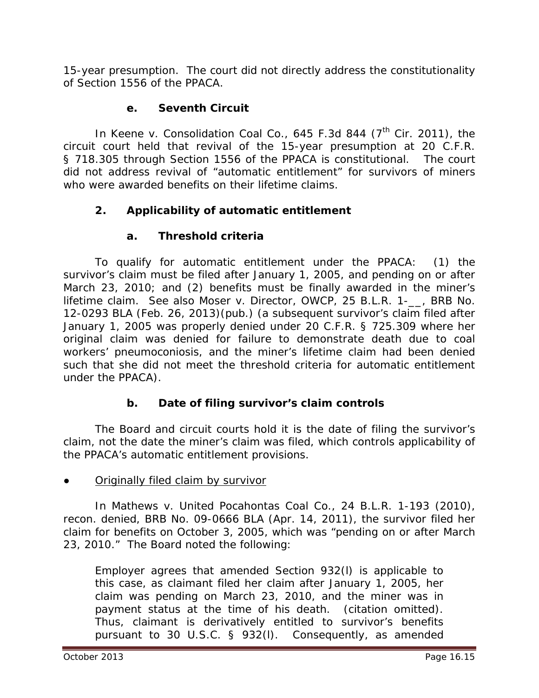15-year presumption. The court did not directly address the constitutionality of Section 1556 of the PPACA.

## **e. Seventh Circuit**

In *Keene v. Consolidation Coal Co.*, 645 F.3d 844 (7<sup>th</sup> Cir. 2011), the circuit court held that revival of the 15-year presumption at 20 C.F.R. § 718.305 through Section 1556 of the PPACA is constitutional. The court did not address revival of "automatic entitlement" for survivors of miners who were awarded benefits on their lifetime claims.

## **2. Applicability of automatic entitlement**

# **a. Threshold criteria**

To qualify for automatic entitlement under the PPACA: (1) the survivor's claim must be filed after January 1, 2005, and pending on or after March 23, 2010; and (2) benefits must be finally awarded in the miner's lifetime claim. *See also Moser v. Director, OWCP,* 25 B.L.R. 1-\_\_, BRB No. 12-0293 BLA (Feb. 26, 2013)(pub.) (a subsequent survivor's claim filed after January 1, 2005 was properly denied under 20 C.F.R. § 725.309 where her original claim was denied for failure to demonstrate death due to coal workers' pneumoconiosis, and the miner's lifetime claim had been denied such that she did not meet the threshold criteria for automatic entitlement under the PPACA)*.*

# **b. Date of filing survivor's claim controls**

The Board and circuit courts hold it is the date of filing the survivor's claim, not the date the miner's claim was filed, which controls applicability of the PPACA's automatic entitlement provisions.

**•** Originally filed claim by survivor

In *Mathews v. United Pocahontas Coal Co.*, 24 B.L.R. 1-193 (2010), *recon. denied,* BRB No. 09-0666 BLA (Apr. 14, 2011), the survivor filed her claim for benefits on October 3, 2005, which was "pending on or after March 23, 2010." The Board noted the following:

Employer agrees that amended Section 932(l) is applicable to this case, as claimant filed her claim after January 1, 2005, her claim was pending on March 23, 2010, and the miner was in payment status at the time of his death. (citation omitted). Thus, claimant is derivatively entitled to survivor's benefits pursuant to 30 U.S.C. § 932(l). Consequently, as amended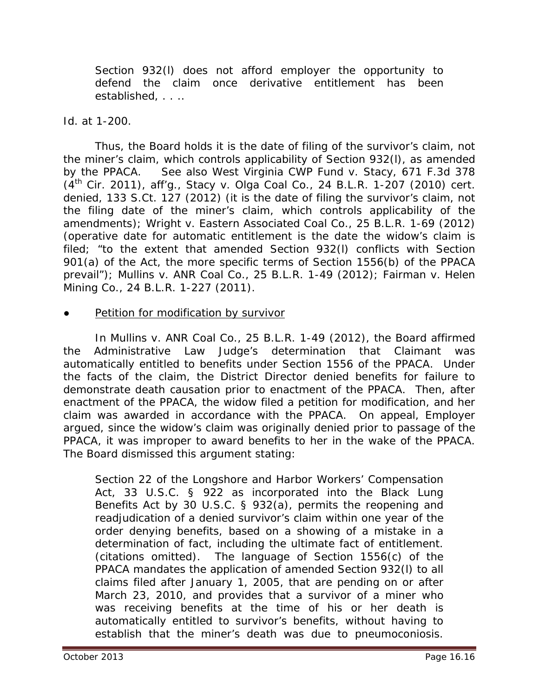Section 932(l) does not afford employer the opportunity to defend the claim once derivative entitlement has been established, . . . .

#### *Id.* at 1-200.

Thus, the Board holds it is the date of filing of the survivor's claim, not the miner's claim, which controls applicability of Section 932(l), as amended by the PPACA. *See also West Virginia CWP Fund v. Stacy*, 671 F.3d 378 (4th Cir. 2011), *aff'g.*, *Stacy v. Olga Coal Co.*, 24 B.L.R. 1-207 (2010) *cert. denied*, 133 S.Ct. 127 (2012) (it is the date of filing the survivor's claim, not the filing date of the miner's claim, which controls applicability of the amendments); *Wright v. Eastern Associated Coal Co.*, 25 B.L.R. 1-69 (2012) (operative date for automatic entitlement is the date the widow's claim is filed; "to the extent that amended Section 932(l) conflicts with Section 901(a) of the Act, the more specific terms of Section 1556(b) of the PPACA prevail"); *Mullins v. ANR Coal Co.*, 25 B.L.R. 1-49 (2012); *Fairman v. Helen Mining Co.*, 24 B.L.R. 1-227 (2011).

#### Petition for modification by survivor

In *Mullins v. ANR Coal Co.*, 25 B.L.R. 1-49 (2012), the Board affirmed the Administrative Law Judge's determination that Claimant was automatically entitled to benefits under Section 1556 of the PPACA. Under the facts of the claim, the District Director denied benefits for failure to demonstrate death causation prior to enactment of the PPACA. Then, after enactment of the PPACA, the widow filed a petition for modification, and her claim was awarded in accordance with the PPACA. On appeal, Employer argued, since the widow's claim was originally denied prior to passage of the PPACA, it was improper to award benefits to her in the wake of the PPACA. The Board dismissed this argument stating:

Section 22 of the Longshore and Harbor Workers' Compensation Act, 33 U.S.C. § 922 as incorporated into the Black Lung Benefits Act by 30 U.S.C. § 932(a), permits the reopening and readjudication of a denied survivor's claim within one year of the order denying benefits, based on a showing of a mistake in a determination of fact, including the ultimate fact of entitlement. (citations omitted). The language of Section 1556(c) of the PPACA mandates the application of amended Section 932(l) to all claims filed after January 1, 2005, that are pending on or after March 23, 2010, and provides that a survivor of a miner who was receiving benefits at the time of his or her death is automatically entitled to survivor's benefits, without having to establish that the miner's death was due to pneumoconiosis.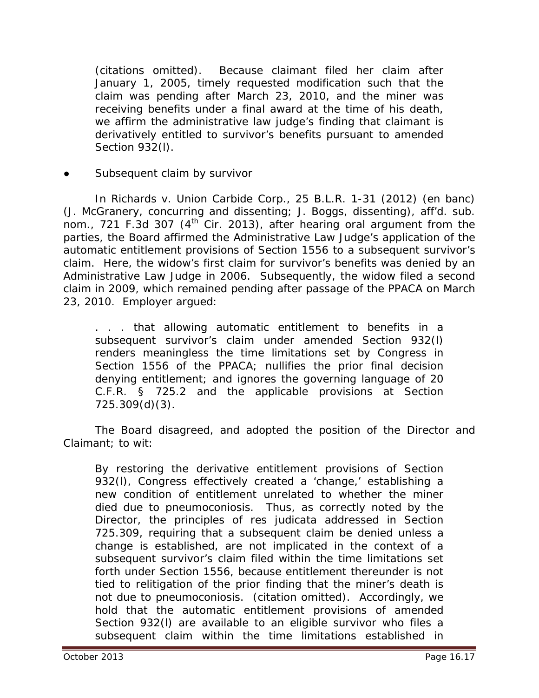(citations omitted). Because claimant filed her claim after January 1, 2005, timely requested modification such that the claim was pending after March 23, 2010, and the miner was receiving benefits under a final award at the time of his death, we affirm the administrative law judge's finding that claimant is derivatively entitled to survivor's benefits pursuant to amended Section 932(I).

#### Subsequent claim by survivor

In *Richards v. Union Carbide Corp.*, 25 B.L.R. 1-31 (2012) (en banc) (J. McGranery, concurring and dissenting; J. Boggs, dissenting), *aff'd. sub.*  nom., 721 F.3d 307 (4<sup>th</sup> Cir. 2013), after hearing oral argument from the parties, the Board affirmed the Administrative Law Judge's application of the automatic entitlement provisions of Section 1556 to a subsequent survivor's claim. Here, the widow's first claim for survivor's benefits was denied by an Administrative Law Judge in 2006. Subsequently, the widow filed a second claim in 2009, which remained pending after passage of the PPACA on March 23, 2010. Employer argued:

. . . that allowing automatic entitlement to benefits in a subsequent survivor's claim under amended Section 932(l) renders meaningless the time limitations set by Congress in Section 1556 of the PPACA; nullifies the prior final decision denying entitlement; and ignores the governing language of 20 C.F.R. § 725.2 and the applicable provisions at Section 725.309(d)(3).

The Board disagreed, and adopted the position of the Director and Claimant; *to wit*:

By restoring the derivative entitlement provisions of Section 932(l), Congress effectively created a 'change,' establishing a new condition of entitlement unrelated to whether the miner died due to pneumoconiosis. Thus, as correctly noted by the Director, the principles of res judicata addressed in Section 725.309, requiring that a subsequent claim be denied unless a change is established, are not implicated in the context of a subsequent survivor's claim filed within the time limitations set forth under Section 1556, because entitlement thereunder is not tied to relitigation of the prior finding that the miner's death is not due to pneumoconiosis. (citation omitted). Accordingly, we hold that the automatic entitlement provisions of amended Section 932(l) are available to an eligible survivor who files a subsequent claim within the time limitations established in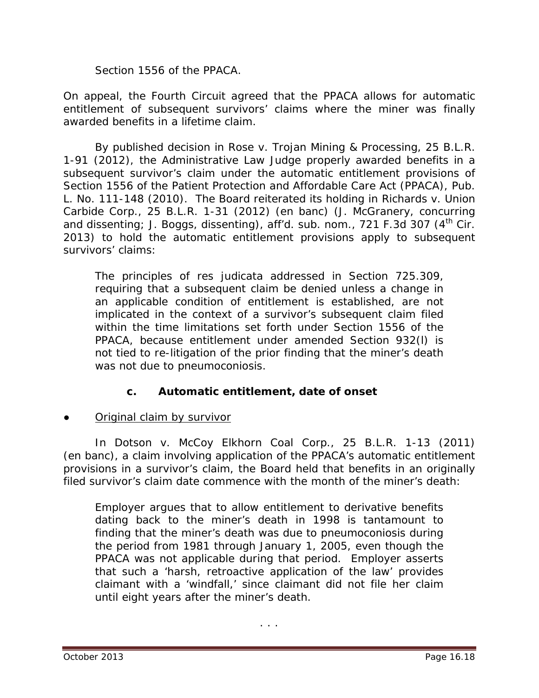Section 1556 of the PPACA.

On appeal, the Fourth Circuit agreed that the PPACA allows for automatic entitlement of subsequent survivors' claims where the miner was finally awarded benefits in a lifetime claim.

By published decision in *Rose v. Trojan Mining & Processing*, 25 B.L.R. 1-91 (2012), the Administrative Law Judge properly awarded benefits in a subsequent survivor's claim under the automatic entitlement provisions of Section 1556 of the Patient Protection and Affordable Care Act (PPACA), Pub. L. No. 111-148 (2010). The Board reiterated its holding in *Richards v. Union Carbide Corp.*, 25 B.L.R. 1-31 (2012) (en banc) (J. McGranery, concurring and dissenting; J. Boggs, dissenting), *aff'd. sub. nom.*, 721 F.3d 307 (4<sup>th</sup> Cir. 2013) to hold the automatic entitlement provisions apply to subsequent survivors' claims:

The principles of res judicata addressed in Section 725.309, requiring that a subsequent claim be denied unless a change in an applicable condition of entitlement is established, are not implicated in the context of a survivor's subsequent claim filed within the time limitations set forth under Section 1556 of the PPACA, because entitlement under amended Section 932(l) is not tied to re-litigation of the prior finding that the miner's death was not due to pneumoconiosis.

#### **c. Automatic entitlement, date of onset**

Original claim by survivor

In *Dotson v. McCoy Elkhorn Coal Corp.*, 25 B.L.R. 1-13 (2011) (en banc), a claim involving application of the PPACA's automatic entitlement provisions in a survivor's claim, the Board held that benefits in an originally filed survivor's claim date commence with the month of the miner's death:

Employer argues that to allow entitlement to derivative benefits dating back to the miner's death in 1998 is tantamount to finding that the miner's death was due to pneumoconiosis during the period from 1981 through January 1, 2005, even though the PPACA was not applicable during that period. Employer asserts that such a 'harsh, retroactive application of the law' provides claimant with a 'windfall,' since claimant did not file her claim until eight years after the miner's death.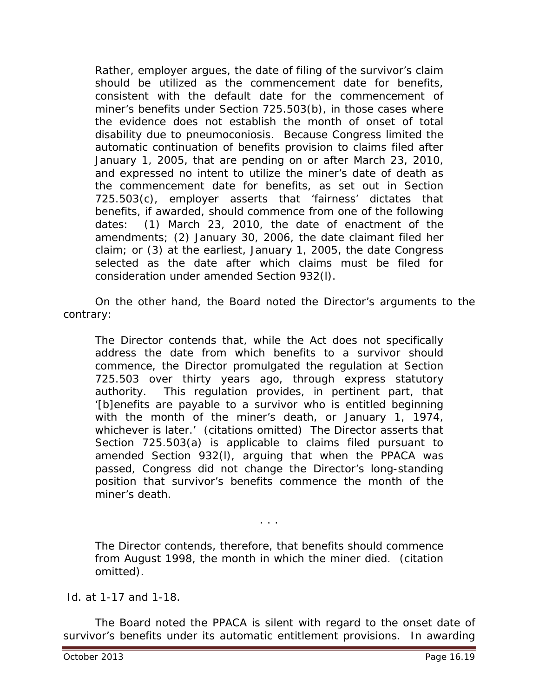Rather, employer argues, the date of filing of the survivor's claim should be utilized as the commencement date for benefits, consistent with the default date for the commencement of miner's benefits under Section 725.503(b), in those cases where the evidence does not establish the month of onset of total disability due to pneumoconiosis. Because Congress limited the automatic continuation of benefits provision to claims filed after January 1, 2005, that are pending on or after March 23, 2010, and expressed no intent to utilize the miner's date of death as the commencement date for benefits, as set out in Section 725.503(c), employer asserts that 'fairness' dictates that benefits, if awarded, should commence from one of the following dates: (1) March 23, 2010, the date of enactment of the amendments; (2) January 30, 2006, the date claimant filed her claim; or (3) at the earliest, January 1, 2005, the date Congress selected as the date after which claims must be filed for consideration under amended Section 932(l).

On the other hand, the Board noted the Director's arguments to the contrary:

The Director contends that, while the Act does not specifically address the date from which benefits to a survivor should commence, the Director promulgated the regulation at Section 725.503 over thirty years ago, through express statutory authority. This regulation provides, in pertinent part, that '[b]enefits are payable to a survivor who is entitled beginning with the month of the miner's death, or January 1, 1974, whichever is later.' (citations omitted) The Director asserts that Section 725.503(a) is applicable to claims filed pursuant to amended Section 932(l), arguing that when the PPACA was passed, Congress did not change the Director's long-standing position that survivor's benefits commence the month of the miner's death.

The Director contends, therefore, that benefits should commence from August 1998, the month in which the miner died. (citation omitted).

. . .

*Id.* at 1-17 and 1-18.

The Board noted the PPACA is silent with regard to the onset date of survivor's benefits under its automatic entitlement provisions. In awarding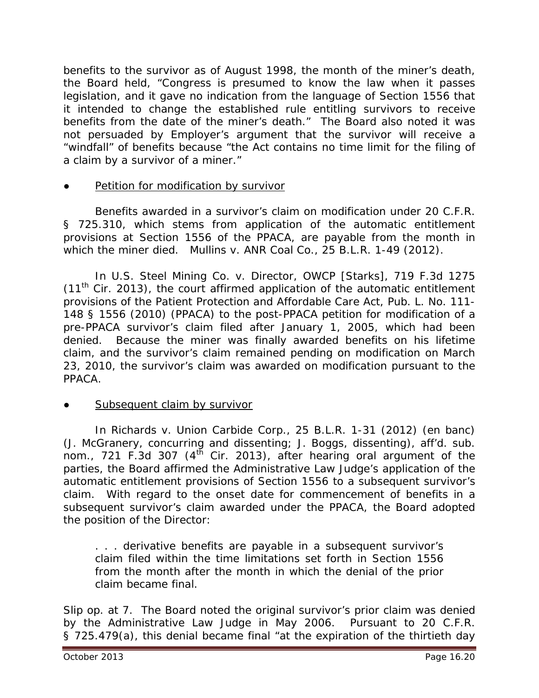benefits to the survivor as of August 1998, the month of the miner's death, the Board held, "Congress is presumed to know the law when it passes legislation, and it gave no indication from the language of Section 1556 that it intended to change the established rule entitling survivors to receive benefits from the date of the miner's death." The Board also noted it was not persuaded by Employer's argument that the survivor will receive a "windfall" of benefits because "the Act contains no time limit for the filing of a claim by a survivor of a miner."

#### Petition for modification by survivor

Benefits awarded in a survivor's claim on modification under 20 C.F.R. § 725.310, which stems from application of the automatic entitlement provisions at Section 1556 of the PPACA, are payable from the month in which the miner died. *Mullins v. ANR Coal Co.*, 25 B.L.R. 1-49 (2012).

In *U.S. Steel Mining Co. v. Director, OWCP [Starks]*, 719 F.3d 1275  $(11<sup>th</sup>$  Cir. 2013), the court affirmed application of the automatic entitlement provisions of the Patient Protection and Affordable Care Act, Pub. L. No. 111- 148 § 1556 (2010) (PPACA) to the post-PPACA petition for modification of a pre-PPACA survivor's claim filed after January 1, 2005, which had been denied. Because the miner was finally awarded benefits on his lifetime claim, and the survivor's claim remained pending on modification on March 23, 2010, the survivor's claim was awarded on modification pursuant to the PPACA.

Subsequent claim by survivor

In *Richards v. Union Carbide Corp.*, 25 B.L.R. 1-31 (2012) (en banc) (J. McGranery, concurring and dissenting; J. Boggs, dissenting), *aff'd. sub. F.3d 307 (* $4<sup>th</sup>$  *Cir. 2013), after hearing oral argument of the* parties, the Board affirmed the Administrative Law Judge's application of the automatic entitlement provisions of Section 1556 to a subsequent survivor's claim. With regard to the onset date for commencement of benefits in a subsequent survivor's claim awarded under the PPACA, the Board adopted the position of the Director:

. . . derivative benefits are payable in a subsequent survivor's claim filed within the time limitations set forth in Section 1556 from the month after the month in which the denial of the prior claim became final.

*Slip op.* at 7. The Board noted the original survivor's prior claim was denied by the Administrative Law Judge in May 2006. Pursuant to 20 C.F.R. § 725.479(a), this denial became final "at the expiration of the thirtieth day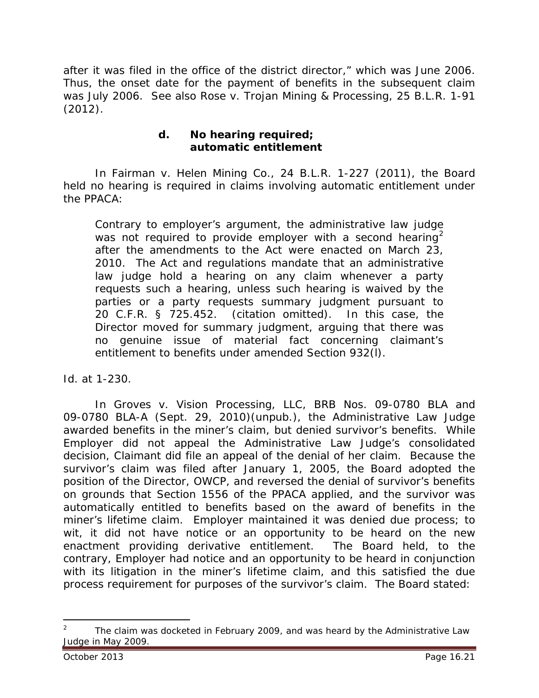after it was filed in the office of the district director," which was June 2006. Thus, the onset date for the payment of benefits in the subsequent claim was July 2006. *See also Rose v. Trojan Mining & Processing*, 25 B.L.R. 1-91 (2012).

#### **d. No hearing required; automatic entitlement**

In *Fairman v. Helen Mining Co.*, 24 B.L.R. 1-227 (2011), the Board held no hearing is required in claims involving automatic entitlement under the PPACA:

Contrary to employer's argument, the administrative law judge was not required to provide employer with a second hearing<sup>[2](#page-20-0)</sup> after the amendments to the Act were enacted on March 23, 2010. The Act and regulations mandate that an administrative law judge hold a hearing on any claim whenever a party requests such a hearing, unless such hearing is waived by the parties or a party requests summary judgment pursuant to 20 C.F.R. § 725.452. (citation omitted). In this case, the Director moved for summary judgment, arguing that there was no genuine issue of material fact concerning claimant's entitlement to benefits under amended Section 932(l).

*Id.* at 1-230.

In *Groves v. Vision Processing, LLC*, BRB Nos. 09-0780 BLA and 09-0780 BLA-A (Sept. 29, 2010)(unpub.), the Administrative Law Judge awarded benefits in the miner's claim, but denied survivor's benefits. While Employer did not appeal the Administrative Law Judge's consolidated decision, Claimant did file an appeal of the denial of her claim. Because the survivor's claim was filed after January 1, 2005, the Board adopted the position of the Director, OWCP, and reversed the denial of survivor's benefits on grounds that Section 1556 of the PPACA applied, and the survivor was automatically entitled to benefits based on the award of benefits in the miner's lifetime claim. Employer maintained it was denied due process; *to wit*, it did not have notice or an opportunity to be heard on the new enactment providing derivative entitlement. The Board held, to the contrary, Employer had notice and an opportunity to be heard in conjunction with its litigation in the miner's lifetime claim, and this satisfied the due process requirement for purposes of the survivor's claim. The Board stated:

 $\overline{a}$ 

<span id="page-20-0"></span>The claim was docketed in February 2009, and was heard by the Administrative Law Judge in May 2009.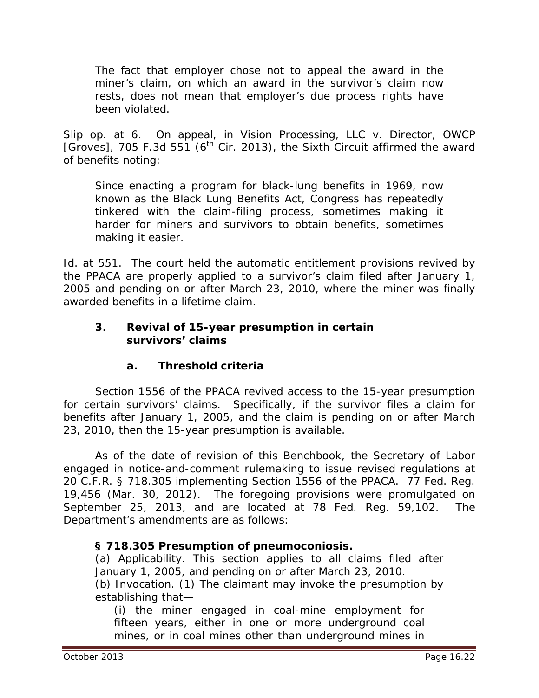The fact that employer chose not to appeal the award in the miner's claim, on which an award in the survivor's claim now rests, does not mean that employer's due process rights have been violated.

*Slip op.* at 6. On appeal, in *Vision Processing, LLC v. Director, OWCP [Groves]*, 705 F.3d 551 (6<sup>th</sup> Cir. 2013), the Sixth Circuit affirmed the award of benefits noting:

Since enacting a program for black-lung benefits in 1969, now known as the Black Lung Benefits Act, Congress has repeatedly tinkered with the claim-filing process, sometimes making it harder for miners and survivors to obtain benefits, sometimes making it easier.

*Id.* at 551. The court held the automatic entitlement provisions revived by the PPACA are properly applied to a survivor's claim filed after January 1, 2005 and pending on or after March 23, 2010, where the miner was finally awarded benefits in a lifetime claim.

#### **3. Revival of 15-year presumption in certain survivors' claims**

## **a. Threshold criteria**

Section 1556 of the PPACA revived access to the 15-year presumption for certain survivors' claims. Specifically, if the survivor files a claim for benefits after January 1, 2005, and the claim is pending on or after March 23, 2010, then the 15-year presumption is available.

As of the date of revision of this *Benchbook*, the Secretary of Labor engaged in notice-and-comment rulemaking to issue revised regulations at 20 C.F.R. § 718.305 implementing Section 1556 of the PPACA. 77 Fed. Reg. 19,456 (Mar. 30, 2012). The foregoing provisions were promulgated on September 25, 2013, and are located at 78 Fed. Reg. 59,102. The Department's amendments are as follows:

#### **§ 718.305 Presumption of pneumoconiosis.**

(a) *Applicability.* This section applies to all claims filed after January 1, 2005, and pending on or after March 23, 2010. (b) *Invocation.* (1) The claimant may invoke the presumption by establishing that—

(i) the miner engaged in coal-mine employment for fifteen years, either in one or more underground coal mines, or in coal mines other than underground mines in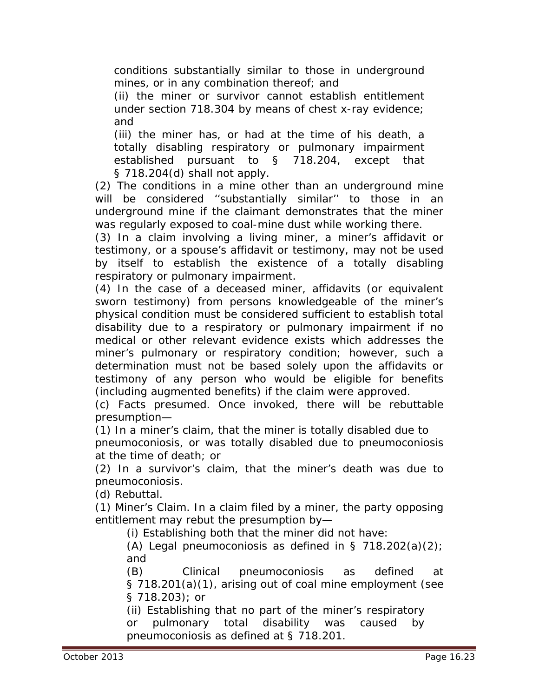conditions substantially similar to those in underground mines, or in any combination thereof; and

(ii) the miner or survivor cannot establish entitlement under section 718.304 by means of chest x-ray evidence; and

(iii) the miner has, or had at the time of his death, a totally disabling respiratory or pulmonary impairment established pursuant to § 718.204, except that § 718.204(d) shall not apply.

(2) The conditions in a mine other than an underground mine will be considered ''substantially similar'' to those in an underground mine if the claimant demonstrates that the miner was regularly exposed to coal-mine dust while working there.

(3) In a claim involving a living miner, a miner's affidavit or testimony, or a spouse's affidavit or testimony, may not be used by itself to establish the existence of a totally disabling respiratory or pulmonary impairment.

(4) In the case of a deceased miner, affidavits (or equivalent sworn testimony) from persons knowledgeable of the miner's physical condition must be considered sufficient to establish total disability due to a respiratory or pulmonary impairment if no medical or other relevant evidence exists which addresses the miner's pulmonary or respiratory condition; however, such a determination must not be based solely upon the affidavits or testimony of any person who would be eligible for benefits (including augmented benefits) if the claim were approved.

(c) *Facts presumed.* Once invoked, there will be rebuttable presumption—

(1) In a miner's claim, that the miner is totally disabled due to pneumoconiosis, or was totally disabled due to pneumoconiosis at the time of death; or

(2) In a survivor's claim, that the miner's death was due to pneumoconiosis.

(d) *Rebuttal.* 

(1) *Miner's Claim.* In a claim filed by a miner, the party opposing entitlement may rebut the presumption by—

(i) Establishing both that the miner did not have:

(A) Legal pneumoconiosis as defined in § 718.202(a)(2); and

(B) Clinical pneumoconiosis as defined at § 718.201(a)(1), arising out of coal mine employment (*see* § 718.203); or

(ii) Establishing that no part of the miner's respiratory or pulmonary total disability was caused by pneumoconiosis as defined at § 718.201.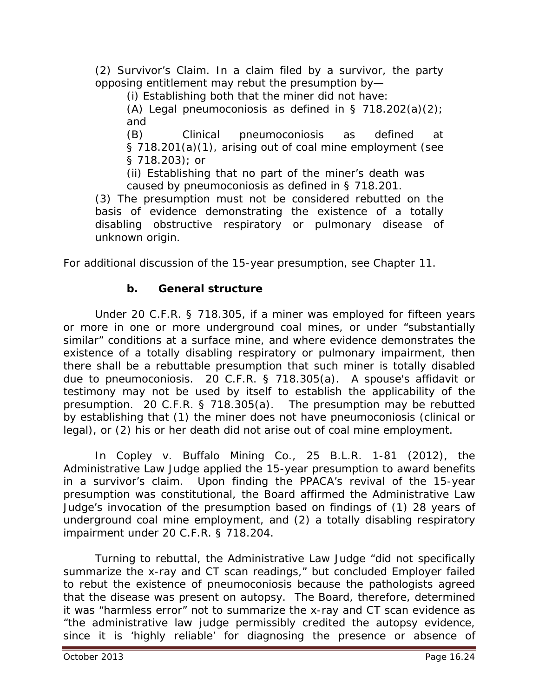(2) *Survivor's Claim.* In a claim filed by a survivor, the party opposing entitlement may rebut the presumption by—

(i) Establishing both that the miner did not have:

(A) Legal pneumoconiosis as defined in § 718.202(a)(2); and

(B) Clinical pneumoconiosis as defined at § 718.201(a)(1), arising out of coal mine employment (*see* § 718.203); or

(ii) Establishing that no part of the miner's death was caused by pneumoconiosis as defined in § 718.201.

(3) The presumption must not be considered rebutted on the basis of evidence demonstrating the existence of a totally disabling obstructive respiratory or pulmonary disease of unknown origin.

For additional discussion of the 15-year presumption, *see* Chapter 11.

#### **b. General structure**

Under 20 C.F.R. § 718.305, if a miner was employed for fifteen years or more in one or more underground coal mines, or under "substantially similar" conditions at a surface mine, and where evidence demonstrates the existence of a totally disabling respiratory or pulmonary impairment, then there shall be a rebuttable presumption that such miner is totally disabled due to pneumoconiosis. 20 C.F.R. § 718.305(a). A spouse's affidavit or testimony may not be used by itself to establish the applicability of the presumption. 20 C.F.R. § 718.305(a). The presumption may be rebutted by establishing that (1) the miner does not have pneumoconiosis (clinical or legal), or (2) his or her death did not arise out of coal mine employment.

In *Copley v. Buffalo Mining Co.*, 25 B.L.R. 1-81 (2012), the Administrative Law Judge applied the 15-year presumption to award benefits in a survivor's claim. Upon finding the PPACA's revival of the 15-year presumption was constitutional, the Board affirmed the Administrative Law Judge's invocation of the presumption based on findings of (1) 28 years of underground coal mine employment, and (2) a totally disabling respiratory impairment under 20 C.F.R. § 718.204.

Turning to rebuttal, the Administrative Law Judge "did not specifically summarize the x-ray and CT scan readings," but concluded Employer failed to rebut the existence of pneumoconiosis because the pathologists agreed that the disease was present on autopsy. The Board, therefore, determined it was "harmless error" not to summarize the x-ray and CT scan evidence as "the administrative law judge permissibly credited the autopsy evidence, since it is 'highly reliable' for diagnosing the presence or absence of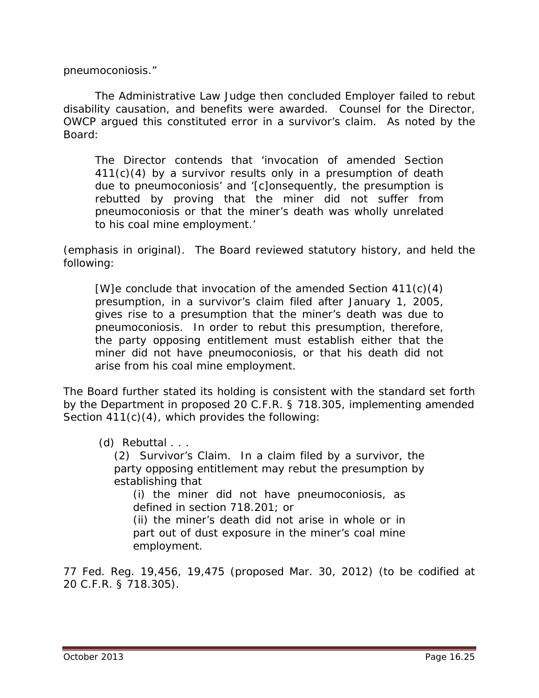pneumoconiosis."

The Administrative Law Judge then concluded Employer failed to rebut disability causation, and benefits were awarded. Counsel for the Director, OWCP argued this constituted error in a survivor's claim. As noted by the Board:

The Director contends that 'invocation of amended Section 411(c)(4) by a survivor results *only* in a presumption of death due to pneumoconiosis' and '[c]onsequently, the presumption is rebutted by proving that the miner did not suffer from pneumoconiosis or that the miner's death was wholly unrelated to his coal mine employment.'

(emphasis in original). The Board reviewed statutory history, and held the following:

[W]e conclude that invocation of the amended Section  $411(c)(4)$ presumption, in a survivor's claim filed after January 1, 2005, gives rise to a presumption that the miner's death was due to pneumoconiosis. In order to rebut this presumption, therefore, the party opposing entitlement must establish either that the miner did not have pneumoconiosis, or that his death did not arise from his coal mine employment.

The Board further stated its holding is consistent with the standard set forth by the Department in proposed 20 C.F.R. § 718.305, implementing amended Section  $411(c)(4)$ , which provides the following:

(d) Rebuttal . . .

(2) Survivor's Claim. In a claim filed by a survivor, the party opposing entitlement may rebut the presumption by establishing that

(i) the miner did not have pneumoconiosis, as defined in section 718.201; or

(ii) the miner's death did not arise in whole or in part out of dust exposure in the miner's coal mine employment.

77 Fed. Reg. 19,456, 19,475 (proposed Mar. 30, 2012) (to be codified at 20 C.F.R. § 718.305).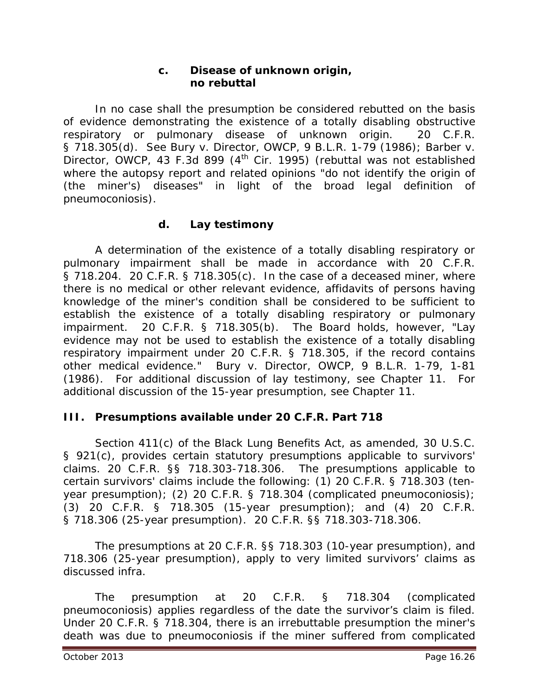#### **c. Disease of unknown origin, no rebuttal**

In no case shall the presumption be considered rebutted on the basis of evidence demonstrating the existence of a totally disabling obstructive respiratory or pulmonary disease of unknown origin. 20 C.F.R. § 718.305(d). *See Bury v. Director, OWCP*, 9 B.L.R. 1-79 (1986); *Barber v. Director, OWCP*, 43 F.3d 899 (4<sup>th</sup> Cir. 1995) (rebuttal was not established where the autopsy report and related opinions "do not identify the origin of (the miner's) diseases" in light of the broad legal definition of pneumoconiosis).

#### **d. Lay testimony**

A determination of the existence of a totally disabling respiratory or pulmonary impairment shall be made in accordance with 20 C.F.R. § 718.204. 20 C.F.R. § 718.305(c). In the case of a deceased miner, where there is no medical or other relevant evidence, affidavits of persons having knowledge of the miner's condition shall be considered to be sufficient to establish the existence of a totally disabling respiratory or pulmonary impairment. 20 C.F.R. § 718.305(b). The Board holds, however, "Lay evidence may not be used to establish the existence of a totally disabling respiratory impairment under 20 C.F.R. § 718.305, if the record contains other medical evidence." *Bury v. Director, OWCP*, 9 B.L.R. 1-79, 1-81 (1986). For additional discussion of lay testimony, *see* Chapter 11. For additional discussion of the 15-year presumption, see Chapter 11.

#### **III. Presumptions available under 20 C.F.R. Part 718**

Section 411(c) of the Black Lung Benefits Act, as amended, 30 U.S.C. § 921(c), provides certain statutory presumptions applicable to survivors' claims. 20 C.F.R. §§ 718.303-718.306. The presumptions applicable to certain survivors' claims include the following: (1) 20 C.F.R. § 718.303 (tenyear presumption); (2) 20 C.F.R. § 718.304 (complicated pneumoconiosis); (3) 20 C.F.R. § 718.305 (15-year presumption); and (4) 20 C.F.R. § 718.306 (25-year presumption). 20 C.F.R. §§ 718.303-718.306.

The presumptions at 20 C.F.R. §§ 718.303 (10-year presumption), and 718.306 (25-year presumption), apply to very limited survivors' claims as discussed *infra*.

The presumption at 20 C.F.R. § 718.304 (complicated pneumoconiosis) applies regardless of the date the survivor's claim is filed. Under 20 C.F.R. § 718.304, there is an irrebuttable presumption the miner's death was due to pneumoconiosis if the miner suffered from complicated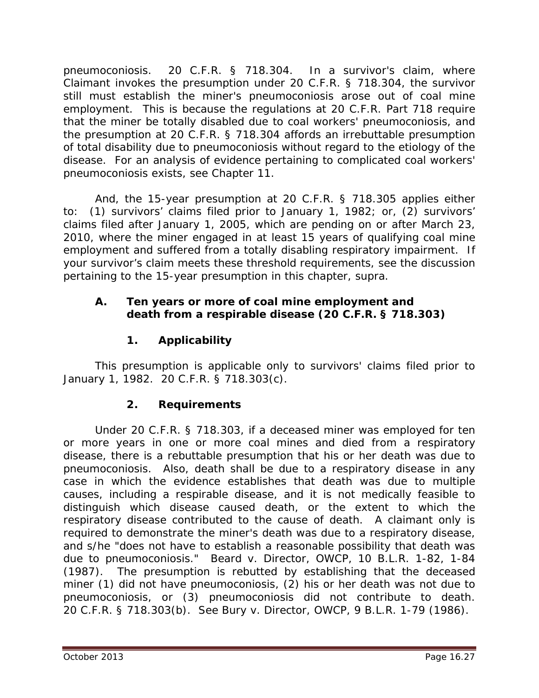pneumoconiosis. 20 C.F.R. § 718.304. In a survivor's claim, where Claimant invokes the presumption under 20 C.F.R. § 718.304, the survivor still must establish the miner's pneumoconiosis arose out of coal mine employment. This is because the regulations at 20 C.F.R. Part 718 require that the miner be totally disabled due to *coal workers'* pneumoconiosis, and the presumption at 20 C.F.R. § 718.304 affords an irrebuttable presumption of total disability due to pneumoconiosis without regard to the etiology of the disease. For an analysis of evidence pertaining to complicated coal workers' pneumoconiosis exists, *see* Chapter 11.

And, the 15-year presumption at 20 C.F.R. § 718.305 applies either to: (1) survivors' claims filed prior to January 1, 1982; or, (2) survivors' claims filed after January 1, 2005, which are pending on or after March 23, 2010, where the miner engaged in at least 15 years of qualifying coal mine employment and suffered from a totally disabling respiratory impairment. If your survivor's claim meets these threshold requirements, *see* the discussion pertaining to the 15-year presumption in this chapter, *supra*.

### **A. Ten years or more of coal mine employment and death from a respirable disease (20 C.F.R. § 718.303)**

# **1. Applicability**

This presumption is applicable only to survivors' claims filed prior to January 1, 1982. 20 C.F.R. § 718.303(c).

## **2. Requirements**

Under 20 C.F.R. § 718.303, if a deceased miner was employed for ten or more years in one or more coal mines and died from a respiratory disease, there is a rebuttable presumption that his or her death was due to pneumoconiosis. Also, death shall be due to a respiratory disease in any case in which the evidence establishes that death was due to multiple causes, including a respirable disease, and it is not medically feasible to distinguish which disease caused death, or the extent to which the respiratory disease contributed to the cause of death. A claimant only is required to demonstrate the miner's death was due to a respiratory disease, and s/he "does not have to establish a reasonable possibility that death was due to pneumoconiosis." *Beard v. Director, OWCP*, 10 B.L.R. 1-82, 1-84 (1987). The presumption is rebutted by establishing that the deceased miner (1) did not have pneumoconiosis, (2) his or her death was not due to pneumoconiosis, or (3) pneumoconiosis did not contribute to death. 20 C.F.R. § 718.303(b). *See Bury v. Director, OWCP*, 9 B.L.R. 1-79 (1986).